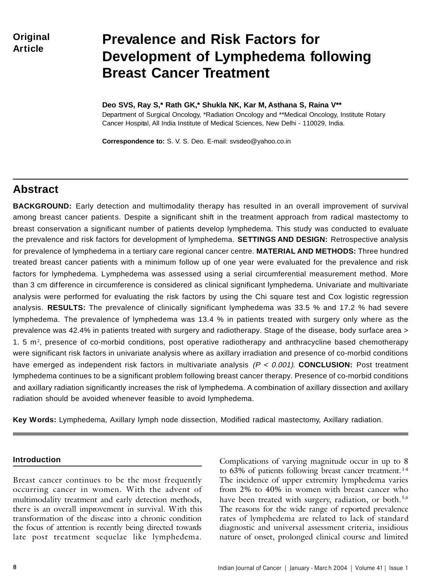**Original Article**

# **Prevalence and Risk Factors for Development of Lymphedema following Breast Cancer Treatment**

**Deo SVS, Ray S,\* Rath GK,\* Shukla NK, Kar M, Asthana S, Raina V\*\*** Department of Surgical Oncology, \*Radiation Oncology and \*\*Medical Oncology, Institute Rotary Cancer Hospital, All India Institute of Medical Sciences, New Delhi - 110029, India.

**Correspondence to:** S. V. S. Deo. E-mail: svsdeo@yahoo.co.in

# **Abstract**

**BACKGROUND:** Early detection and multimodality therapy has resulted in an overall improvement of survival among breast cancer patients. Despite a significant shift in the treatment approach from radical mastectomy to breast conservation a significant number of patients develop lymphedema. This study was conducted to evaluate the prevalence and risk factors for development of lymphedema. **SETTINGS AND DESIGN:** Retrospective analysis for prevalence of lymphedema in a tertiary care regional cancer centre. **MATERIAL AND METHODS:** Three hundred treated breast cancer patients with a minimum follow up of one year were evaluated for the prevalence and risk factors for lymphedema. Lymphedema was assessed using a serial circumferential measurement method. More than 3 cm difference in circumference is considered as clinical significant lymphedema. Univariate and multivariate analysis were performed for evaluating the risk factors by using the Chi square test and Cox logistic regression analysis. **RESULTS:** The prevalence of clinically significant lymphedema was 33.5 % and 17.2 % had severe lymphedema. The prevalence of lymphedema was 13.4 % in patients treated with surgery only where as the prevalence was 42.4% in patients treated with surgery and radiotherapy. Stage of the disease, body surface area > 1. 5 m2 , presence of co-morbid conditions, post operative radiotherapy and anthracycline based chemotherapy were significant risk factors in univariate analysis where as axillary irradiation and presence of co-morbid conditions have emerged as independent risk factors in multivariate analysis (P < 0.001). **CONCLUSION:** Post treatment lymphedema continues to be a significant problem following breast cancer therapy. Presence of co-morbid conditions and axillary radiation significantly increases the risk of lymphedema. A combination of axillary dissection and axillary radiation should be avoided whenever feasible to avoid lymphedema.

**Key Words:** Lymphedema, Axillary lymph node dissection, Modified radical mastectomy, Axillary radiation.

### **Introduction**

Breast cancer continues to be the most frequently occurring cancer in women. With the advent of multimodality treatment and early detection methods, there is an overall improvement in survival. With this transformation of the disease into a chronic condition the focus of attention is recently being directed towards late post treatment sequelae like lymphedema.

Complications of varying magnitude occur in up to 8 to 63% of patients following breast cancer treatment.<sup>1-4</sup> The incidence of upper extremity lymphedema varies from 2% to 40% in women with breast cancer who have been treated with surgery, radiation, or both.<sup>5,6</sup> The reasons for the wide range of reported prevalence rates of lymphedema are related to lack of standard diagnostic and universal assessment criteria, insidious nature of onset, prolonged clinical course and limited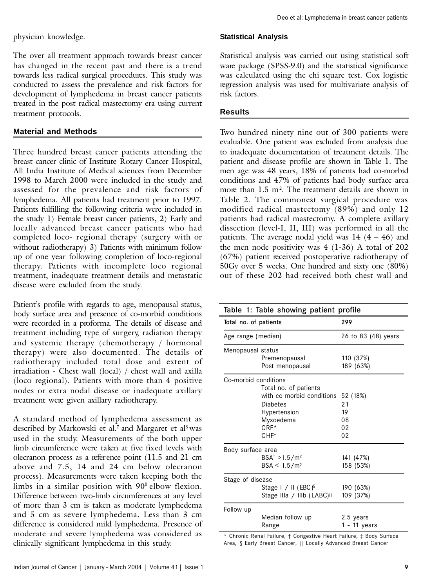physician knowledge.

The over all treatment approach towards breast cancer has changed in the recent past and there is a trend towards less radical surgical procedures. This study was conducted to assess the prevalence and risk factors for development of lymphedema in breast cancer patients treated in the post radical mastectomy era using current treatment protocols.

# **Material and Methods**

Three hundred breast cancer patients attending the breast cancer clinic of Institute Rotary Cancer Hospital, All India Institute of Medical sciences from December 1998 to March 2000 were included in the study and assessed for the prevalence and risk factors of lymphedema. All patients had treatment prior to 1997. Patients fulfilling the following criteria were included in the study 1) Female breast cancer patients, 2) Early and locally advanced breast cancer patients who had completed loco- regional therapy (surgery with or without radiotherapy) 3) Patients with minimum follow up of one year following completion of loco-regional therapy. Patients with incomplete loco regional treatment, inadequate treatment details and metastatic disease were excluded from the study.

Patient's profile with regards to age, menopausal status, body surface area and presence of co-morbid conditions were recorded in a proforma. The details of disease and treatment including type of surgery, radiation therapy and systemic therapy (chemotherapy / hormonal therapy) were also documented. The details of radiotherapy included total dose and extent of irradiation - Chest wall (local) / chest wall and axilla (loco regional). Patients with more than 4 positive nodes or extra nodal disease or inadequate axillary treatment were given axillary radiotherapy.

A standard method of lymphedema assessment as described by Markowski et al.<sup>7</sup> and Margaret et al<sup>8</sup> was used in the study. Measurements of the both upper limb circumference were taken at five fixed levels with olecranon process as a reference point (11.5 and 21 cm above and 7.5, 14 and 24 cm below olecranon process). Measurements were taken keeping both the limbs in a similar position with  $90^{\circ}$  elbow flexion. Difference between two-limb circumferences at any level of more than 3 cm is taken as moderate lymphedema and 5 cm as severe lymphedema. Less than 3 cm difference is considered mild lymphedema. Presence of moderate and severe lymphedema was considered as clinically significant lymphedema in this study.

# **Statistical Analysis**

Statistical analysis was carried out using statistical soft ware package (SPSS-9.0) and the statistical significance was calculated using the chi square test. Cox logistic regression analysis was used for multivariate analysis of risk factors.

#### **Results**

Two hundred ninety nine out of 300 patients were evaluable. One patient was excluded from analysis due to inadequate documentation of treatment details. The patient and disease profile are shown in Table 1. The men age was 48 years, 18% of patients had co-morbid conditions and 47% of patients had body surface area more than 1.5 m<sup>2</sup>. The treatment details are shown in Table 2. The commonest surgical procedure was modified radical mastectomy (89%) and only 12 patients had radical mastectomy. A complete axillary dissection (level-I, II, III) was performed in all the patients. The average nodal yield was  $14$   $(4 - 46)$  and the men node positivity was 4 (1-36) A total of 202 (67%) patient received postoperative radiotherapy of 50Gy over 5 weeks. One hundred and sixty one (80%) out of these 202 had received both chest wall and

| Table 1: Table showing patient profile                                                                                                                |                                                                                                                           |                                        |  |
|-------------------------------------------------------------------------------------------------------------------------------------------------------|---------------------------------------------------------------------------------------------------------------------------|----------------------------------------|--|
| Total no. of patients                                                                                                                                 |                                                                                                                           | 299                                    |  |
| Age range (median)                                                                                                                                    |                                                                                                                           | 26 to 83 (48) years                    |  |
| Menopausal status                                                                                                                                     | Premenopausal<br>Post menopausal                                                                                          | 110 (37%)<br>189 (63%)                 |  |
| Co-morbid conditions                                                                                                                                  | Total no. of patients<br>with co-morbid conditions<br>Diabetes<br>Hypertension<br>Myxoedema<br>$CRF*$<br>CHF <sup>+</sup> | 52 (18%)<br>21<br>19<br>08<br>02<br>02 |  |
| Body surface area<br>$BSA^{\ddagger} > 1.5/m^2$<br>141 (47%)<br>158 (53%)<br>$BSA < 1.5/m^2$<br>Stage of disease<br>Stage $1 / 11$ (EBC) <sup>§</sup> |                                                                                                                           | 190 (63%)                              |  |
| Follow up                                                                                                                                             | Stage IIIa / IIIb (LABC) <sup>11</sup><br>Median follow up<br>Range                                                       | 109 (37%)<br>2.5 years<br>1 - 11 years |  |

\* Chronic Renal Failure, † Congestive Heart Failure, ‡ Body Surface Area, § Early Breast Cancer, || Locally Advanced Breast Cancer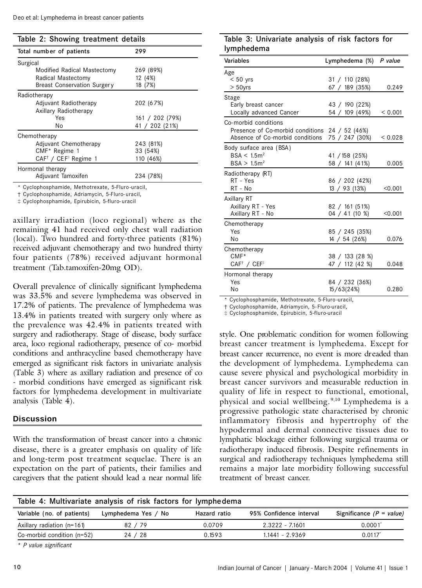|  |  |  | Table 2: Showing treatment details |  |
|--|--|--|------------------------------------|--|
|--|--|--|------------------------------------|--|

| Total number of patients                    | 299             |  |  |
|---------------------------------------------|-----------------|--|--|
| Surgical                                    |                 |  |  |
| Modified Radical Mastectomy                 | 269 (89%)       |  |  |
| Radical Mastectomy                          | 12 (4%)         |  |  |
| <b>Breast Conservation Surgery</b>          | 18 (7%)         |  |  |
| Radiotherapy                                |                 |  |  |
| Adjuvant Radiotherapy                       | 202 (67%)       |  |  |
| Axillary Radiotherapy                       |                 |  |  |
| Yes                                         | 161 / 202 (79%) |  |  |
| No                                          | 41 / 202 (21%)  |  |  |
| Chemotherapy                                |                 |  |  |
| Adjuvant Chemotherapy                       | 243 (81%)       |  |  |
| CMF* Regime 1                               | 33 (54%)        |  |  |
| $CAF^{\dagger}$ / CEF <sup>‡</sup> Regime 1 | 110 (46%)       |  |  |
| Hormonal therapy                            |                 |  |  |
| Adjuvant Tamoxifen                          | 234 (78%)       |  |  |

\* Cyclophosphamide, Methotrexate, 5-Fluro -uracil,

† Cyclophosphamide, Adriamycin, 5-Fluro- uracil,

‡ Cyclophosphamide, Epirubicin, 5-fluro- uracil

axillary irradiation (loco regional) where as the remaining 41 had received only chest wall radiation (local). Two hundred and forty-three patients (81%) received adjuvant chemotherapy and two hundred thirty four patients (78%) received adjuvant hormonal treatment (Tab.tamoxifen-20mg OD).

Overall prevalence of clinically significant lymphedema was 33.5% and severe lymphedema was observed in 17.2% of patients. The prevalence of lymphedema was 13.4% in patients treated with surgery only where as the prevalence was 42.4% in patients treated with surgery and radiotherapy. Stage of disease, body surface area, loco regional radiotherapy, presence of co- morbid conditions and anthracycline based chemotherapy have emerged as significant risk factors in univariate analysis (Table 3) where as axillary radiation and presence of co - morbid conditions have emerged as significant risk factors for lymphedema development in multivariate analysis (Table 4).

#### **Discussion**

With the transformation of breast cancer into a chronic disease, there is a greater emphasis on quality of life and long-term post treatment sequelae. There is an expectation on the part of patients, their families and caregivers that the patient should lead a near normal life

# Table 3: Univariate analysis of risk factors for lymphedema

| Variables                                      | Lymphedema (%)  | P value |
|------------------------------------------------|-----------------|---------|
| Age                                            |                 |         |
| $< 50$ yrs                                     | 31 / 110 (28%)  |         |
| $> 50$ yrs                                     | 67 / 189 (35%)  | 0.249   |
| Stage                                          |                 |         |
| Early breast cancer                            | 43 / 190 (22%)  |         |
| Locally advanced Cancer                        | 54 / 109 (49%)  | < 0.001 |
| Co-morbid conditions                           |                 |         |
| Presence of Co-morbid conditions 24 / 52 (46%) |                 |         |
| Absence of Co-morbid conditions                | 75 / 247 (30%)  | < 0.028 |
| Body surface area (BSA)                        |                 |         |
| BSA < 1.5m <sup>2</sup>                        | 41 / 158 (25%)  |         |
| BSA > 1.5m <sup>2</sup>                        | 58 / 141 (41%)  | 0.005   |
| Radiotherapy (RT)                              |                 |         |
| RT - Yes                                       | 86 / 202 (42%)  |         |
| RT - No                                        | 13 / 93 (13%)   | < 0.001 |
| Axillary RT                                    |                 |         |
| Axillary RT - Yes                              | 82 / 161 (51%)  |         |
| Axillary RT - No                               | 04 / 41 (10 %)  | < 0.001 |
| Chemotherapy                                   |                 |         |
| Yes                                            | 85 / 245 (35%)  |         |
| No                                             | 14 / 54 (26%)   | 0.076   |
| Chemotherapy                                   |                 |         |
| $CMF*$                                         | 38 / 133 (28 %) |         |
| CAF <sup>†</sup> / CEF <sup>‡</sup>            | 47 / 112 (42 %) | 0.048   |
| Hormonal therapy                               |                 |         |
| Yes                                            | 84 / 232 (36%)  |         |
| No                                             | 15/63(24%)      | 0.280   |

\* Cyclophosphamide, Methotrexate, 5-Fluro -uracil,

† Cyclophosphamide, Adriamycin, 5- Fluro-uracil,

‡ Cyclophosphamide, Epirubicin, 5-fluro-uracil

style. One problematic condition for women following breast cancer treatment is lymphedema. Except for breast cancer recurrence, no event is more dreaded than the development of lymphedema. Lymphedema can cause severe physical and psychological morbidity in breast cancer survivors and measurable reduction in quality of life in respect to functional, emotional, physical and social wellbeing. 9,10 Lymphedema is a progressive pathologic state characterised by chronic inflammatory fibrosis and hypertrophy of the hypodermal and dermal connective tissues due to lymphatic blockage either following surgical trauma or radiotherapy induced fibrosis. Despite refinements in surgical and radiotherapy techniques lymphedema still remains a major late morbidity following successful treatment of breast cancer.

| Table 4: Multivariate analysis of risk factors for lymphedema |                     |              |                         |                            |  |
|---------------------------------------------------------------|---------------------|--------------|-------------------------|----------------------------|--|
| Variable (no. of patients)                                    | Lymphedema Yes / No | Hazard ratio | 95% Confidence interval | Significance $(P = value)$ |  |
| Axillary radiation (n=161)                                    | 82/79               | 0.0709       | 2.3222 - 7.1601         | 0.0001                     |  |
| Co-morbid condition $(n=52)$                                  | 24 / 28             | 0.1593       | $1.1441 - 2.9369$       | $0.0117$ <sup>*</sup>      |  |
|                                                               |                     |              |                         |                            |  |

\* *P value significant*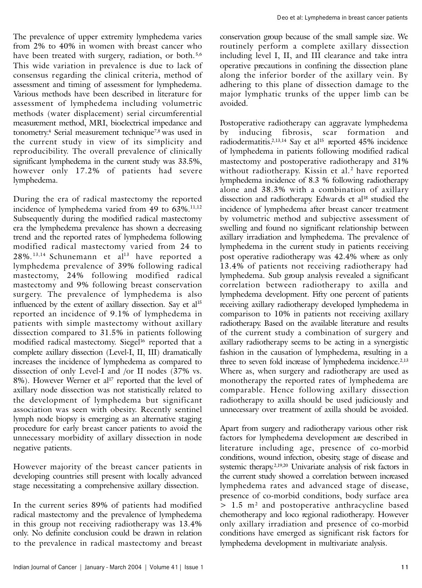The prevalence of upper extremity lymphedema varies from 2% to 40% in women with breast cancer who have been treated with surgery, radiation, or both.<sup>5,6</sup> This wide variation in prevalence is due to lack of consensus regarding the clinical criteria, method of assessment and timing of assessment for lymphedema. Various methods have been described in literature for assessment of lymphedema including volumetric methods (water displacement) serial circumferential measurement method, MRI, bioelectrical impedance and tonometry.<sup>4</sup> Serial measurement technique7,8 was used in the current study in view of its simplicity and reproducibility. The overall prevalence of clinically significant lymphedema in the current study was 33.5%, however only 17.2% of patients had severe lymphedema.

During the era of radical mastectomy the reported incidence of lymphedema varied from 49 to  $63\%$ .<sup>11,12</sup> Subsequently during the modified radical mastectomy era the lymphedema prevalence has shown a decreasing trend and the reported rates of lymphedema following modified radical mastectomy varied from 24 to  $28\%$ .<sup>13,14</sup> Schunemann et al<sup>13</sup> have reported a lymphedema prevalence of 39% following radical mastectomy, 24% following modified radical mastectomy and 9% following breast conservation surgery. The prevalence of lymphedema is also influenced by the extent of axillary dissection. Say et  $al<sup>15</sup>$ reported an incidence of 9.1% of lymphedema in patients with simple mastectomy without axillary dissection compared to 31.5% in patients following modified radical mastectomy. Siegel<sup>16</sup> reported that a complete axillary dissection (Level-I, II, III) dramatically increases the incidence of lymphedema as compared to dissection of only Level-I and /or II nodes (37% vs. 8%). However Werner et al<sup>17</sup> reported that the level of axillary node dissection was not statistically related to the development of lymphedema but significant association was seen with obesity. Recently sentinel lymph node biopsy is emerging as an alternative staging procedure for early breast cancer patients to avoid the unnecessary morbidity of axillary dissection in node negative patients.

However majority of the breast cancer patients in developing countries still present with locally advanced stage necessitating a comprehensive axillary dissection.

In the current series 89% of patients had modified radical mastectomy and the prevalence of lymphedema in this group not receiving radiotherapy was 13.4% only. No definite conclusion could be drawn in relation to the prevalence in radical mastectomy and breast conservation group because of the small sample size. We routinely perform a complete axillary dissection including level I, II, and III clearance and take intra operative precautions in confining the dissection plane along the inferior border of the axillary vein. By adhering to this plane of dissection damage to the major lymphatic trunks of the upper limb can be avoided.

Postoperative radiotherapy can aggravate lymphedema by inducing fibrosis, scar formation and radiodermatitis.<sup>2,13,14</sup> Say et al<sup>15</sup> reported 45% incidence of lymphedema in patients following modified radical mastectomy and postoperative radiotherapy and 31% without radiotherapy. Kissin et al.<sup>2</sup> have reported lymphedema incidence of 8.3 % following radiotherapy alone and 38.3% with a combination of axillary dissection and radiotherapy. Edwards et al<sup>18</sup> studied the incidence of lymphedema after breast cancer treatment by volumetric method and subjective assessment of swelling and found no significant relationship between axillary irradiation and lymphedema. The prevalence of lymphedema in the current study in patients receiving post operative radiotherapy was 42.4% where as only 13.4% of patients not receiving radiotherapy had lymphedema. Sub group analysis revealed a significant correlation between radiotherapy to axilla and lymphedema development. Fifty one percent of patients receiving axillary radiotherapy developed lymphedema in comparison to 10% in patients not receiving axillary radiotherapy. Based on the available literature and results of the current study a combination of surgery and axillary radiotherapy seems to be acting in a synergistic fashion in the causation of lymphedema, resulting in a three to seven fold increase of lymphedema incidence.<sup>2,13</sup> Where as, when surgery and radiotherapy are used as monotherapy the reported rates of lymphedema are comparable. Hence following axillary dissection radiotherapy to axilla should be used judiciously and unnecessary over treatment of axilla should be avoided.

Apart from surgery and radiotherapy various other risk factors for lymphedema development are described in literature including age, presence of co-morbid conditions, wound infection, obesity, stage of disease and systemic therapy.<sup>2,19,20</sup> Univariate analysis of risk factors in the current study showed a correlation between increased lymphedema rates and advanced stage of disease, presence of co-morbid conditions, body surface area > 1.5 m<sup>2</sup> and postoperative anthracycline based chemotherapy and loco regional radiotherapy. However only axillary irradiation and presence of co-morbid conditions have emerged as significant risk factors for lymphedema development in multivariate analysis.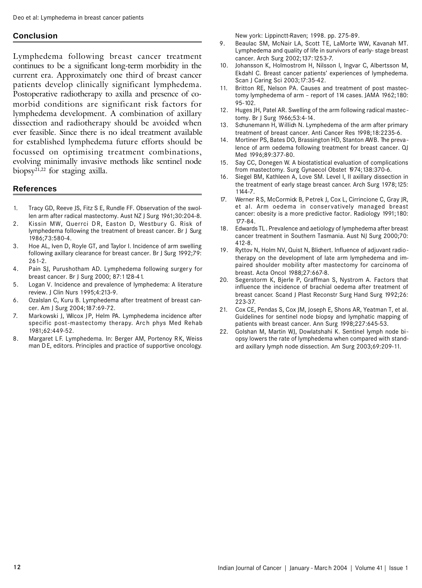### **Conclusion**

Lymphedema following breast cancer treatment continues to be a significant long-term morbidity in the current era. Approximately one third of breast cancer patients develop clinically significant lymphedema. Postoperative radiotherapy to axilla and presence of comorbid conditions are significant risk factors for lymphedema development. A combination of axillary dissection and radiotherapy should be avoided when ever feasible. Since there is no ideal treatment available for established lymphedema future efforts should be focussed on optimising treatment combinations, evolving minimally invasive methods like sentinel node biopsy21,22 for staging axilla.

#### **References**

- 1. Tracy GD, Reeve JS, Fitz S E, Rundle FF. Observation of the swollen arm after radical mastectomy. Aust NZ J Surg 1961;30:204-8.
- 2. Kissin MW, Querrci DR, Easton D, Westbury G. Risk of lymphedema following the treatment of breast cancer. Br J Surg 1986;73:580-4.
- 3. Hoe AL, Iven D, Royle GT, and Taylor I. Incidence of arm swelling following axillary clearance for breast cancer. Br J Surg 1992;79: 261-2.
- 4. Pain SJ, Purushotham AD. Lymphedema following surgery for breast cancer. Br J Surg 2000; 87:1128-41.
- 5. Logan V. Incidence and prevalence of lymphedema: A literature review. J Clin Nurs 1995;4:213-9.
- 6. Ozalslan C, Kuru B. Lymphedema after treatment of breast cancer. Am J Surg 2004;187:69-72.
- 7. Markowski J, Wilcox JP, Helm PA. Lymphedema incidence after specific post-mastectomy therapy. Arch phys Med Rehab 1981;62:449-52.
- 8. Margaret LF. Lymphedema. In: Berger AM, Portenoy RK, Weiss man DE, editors. Principles and practice of supportive oncology.

New york: Lippinctt-Raven; 1998. pp. 275-89.

- 9. Beaulac SM, McNair LA, Scott TE, LaMorte WW, Kavanah MT. Lymphedema and quality of life in survivors of early- stage breast cancer. Arch Surg 2002;137:1253-7.
- 10. Johansson K, Holmostrom H, Nilsson I, Ingvar C, Albertsson M, Ekdahl C. Breast cancer patients' experiences of lymphedema. Scan J Caring Sci 2003;17:35-42.
- 11. Britton RE, Nelson PA. Causes and treatment of post mastectomy lymphedema of arm – report of 114 cases. JAMA 1962;180: 95-102.
- 12. Huges JH, Patel AR. Swelling of the arm following radical mastectomy. Br J Surg 1966;53:4-14.
- 13. Schunemann H, Willich N. Lymphedema of the arm after primary treatment of breast cancer. Anti Cancer Res 1998;18:2235-6.
- 14. Mortiner PS, Bates DO, Brassington HD, Stanton AWB. The prevalence of arm oedema following treatment for breast cancer. QJ Med 1996;89:377-80.
- 15. Say CC, Donegen W. A biostatistical evaluation of complications from mastectomy. Surg Gynaecol Obstet 1974;138:370-6.
- 16. Siegel BM, Kathleen A, Love SM. Level I, II axillary dissection in the treatment of early stage breast cancer. Arch Surg 1978;125: 1144-7.
- 17. Werner RS, McCormick B, Petrek J, Cox L, Cirrincione C, Gray JR, et al. Arm oedema in conservatively managed breast cancer: obesity is a more predictive factor. Radiology 1991;180: 177-84.
- 18. Edwards TL. Prevalence and aetiology of lymphedema after breast cancer treatment in Southern Tasmania. Aust NJ Surg 2000;70: 412-8.
- 19. Ryttov N, Holm NV, Quist N, Blichert. Influence of adjuvant radiotherapy on the development of late arm lymphedema and impaired shoulder mobility after mastectomy for carcinoma of breast. Acta Oncol 1988;27:667-8.
- 20. Segerstorm K, Bjerle P, Graffman S, Nystrom A. Factors that influence the incidence of brachial oedema after treatment of breast cancer. Scand J Plast Reconstr Surg Hand Surg 1992;26: 223-37.
- 21. Cox CE, Pendas S, Cox JM, Joseph E, Shons AR, Yeatman T, et al. Guidelines for sentinel node biopsy and lymphatic mapping of patients with breast cancer. Ann Surg 1998;227:645-53.
- 22. Golshan M, Martin WJ, Dowlatshahi K. Sentinel lymph node biopsy lowers the rate of lymphedema when compared with standard axillary lymph node dissection. Am Surg 2003;69:209-11.